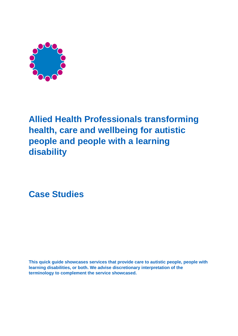

# **Allied Health Professionals transforming health, care and wellbeing for autistic people and people with a learning disability**

**Case Studies**

**This quick guide showcases services that provide care to autistic people, people with learning disabilities, or both. We advise discretionary interpretation of the terminology to complement the service showcased.**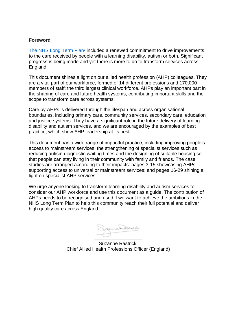#### **Foreword**

[The NHS Long Term Plan](https://www.longtermplan.nhs.uk/)<sup>1</sup> included a renewed commitment to drive improvements to the care received by people with a learning disability, autism or both. Significant progress is being made and yet there is more to do to transform services across England.

This document shines a light on our allied health profession (AHP) colleagues. They are a vital part of our workforce, formed of 14 different professions and 170,000 members of staff: the third largest clinical workforce. AHPs play an important part in the shaping of care and future health systems, contributing important skills and the scope to transform care across systems.

Care by AHPs is delivered through the lifespan and across organisational boundaries, including primary care, community services, secondary care, education and justice systems. They have a significant role in the future delivery of learning disability and autism services, and we are encouraged by the examples of best practice, which show AHP leadership at its best.

This document has a wide range of impactful practice, including improving people's access to mainstream services, the strengthening of specialist services such as reducing autism diagnostic waiting times and the designing of suitable housing so that people can stay living in their community with family and friends. The case studies are arranged according to their impacts: pages 3-15 showcasing AHPs supporting access to universal or mainstream services; and pages 16-29 shining a light on specialist AHP services.

We urge anyone looking to transform learning disability and autism services to consider our AHP workforce and use this document as a guide. The contribution of AHPs needs to be recognised and used if we want to achieve the ambitions in the NHS Long Term Plan to help this community reach their full potential and deliver high quality care across England.

Sognie Radinich

Suzanne Rastrick, Chief Allied Health Professions Officer (England)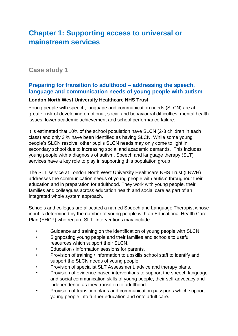# **Chapter 1: Supporting access to universal or mainstream services**

## **Case study 1**

## **Preparing for transition to adulthood – addressing the speech, language and communication needs of young people with autism**

### **London North West University Healthcare NHS Trust**

Young people with speech, language and communication needs (SLCN) are at greater risk of developing emotional, social and behavioural difficulties, mental health issues, lower academic achievement and school performance failure.

It is estimated that 10% of the school population have SLCN (2-3 children in each class) and only 3 % have been identified as having SLCN. While some young people's SLCN resolve, other pupils SLCN needs may only come to light in secondary school due to increasing social and academic demands. This includes young people with a diagnosis of autism. Speech and language therapy (SLT) services have a key role to play in supporting this population group

The SLT service at London North West University Healthcare NHS Trust (LNWH) addresses the communication needs of young people with autism throughout their education and in preparation for adulthood. They work with young people, their families and colleagues across education health and social care as part of an integrated whole system approach.

Schools and colleges are allocated a named Speech and Language Therapist whose input is determined by the number of young people with an Educational Health Care Plan (EHCP) who require SLT. Interventions may include:

- Guidance and training on the identification of young people with SLCN.
- Signposting young people and their families and schools to useful resources which support their SLCN.
- Education / information sessions for parents.
- Provision of training / information to upskills school staff to identify and support the SLCN needs of young people.
- Provision of specialist SLT Assessment, advice and therapy plans.
- Provision of evidence-based interventions to support the speech language and social communication skills of young people, their self-advocacy and independence as they transition to adulthood.
- Provision of transition plans and communication passports which support young people into further education and onto adult care.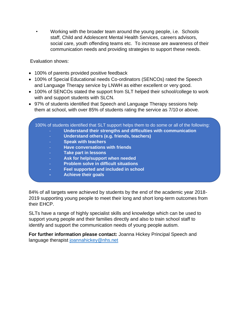• Working with the broader team around the young people, i.e. Schools staff, Child and Adolescent Mental Health Services, careers advisors, social care, youth offending teams etc. To increase are awareness of their communication needs and providing strategies to support these needs.

Evaluation shows:

- 100% of parents provided positive feedback
- 100% of Special Educational needs Co-ordinators (SENCOs) rated the Speech and Language Therapy service by LNWH as either excellent or very good.
- 100% of SENCOs stated the support from SLT helped their school/college to work with and support students with SLCN.
- 97% of students identified that Speech and Language Therapy sessions help them at school, with over 85% of students rating the service as 7/10 or above.



84% of all targets were achieved by students by the end of the academic year 2018- 2019 supporting young people to meet their long and short long-term outcomes from their EHCP.

SLTs have a range of highly specialist skills and knowledge which can be used to support young people and their families directly and also to train school staff to identify and support the communication needs of young people autism.

**For further information please contact:** Joanna Hickey Principal Speech and language therapist [joannahickey@nhs.net](mailto:joannahickey@nhs.net)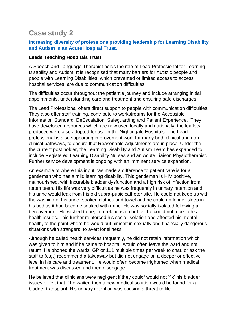# **Case study 2**

### **Increasing diversity of professions providing leadership for Learning Disability and Autism in an Acute Hospital Trust.**

#### **Leeds Teaching Hospitals Trust**

A Speech and Language Therapist holds the role of Lead Professional for Learning Disability and Autism. It is recognised that many barriers for Autistic people and people with Learning Disabilities, which prevented or limited access to access hospital services, are due to communication difficulties.

The difficulties occur throughout the patient's journey and include arranging initial appointments, understanding care and treatment and ensuring safe discharges.

The Lead Professional offers direct support to people with communication difficulties. They also offer staff training, contribute to workstreams for the Accessible Information Standard, DeEscalation, Safeguarding and Patient Experience. They have developed resources which are now used locally and nationally: the leaflets produced were also adopted for use in the Nightingale Hospitals. The Lead professional is also supporting improvement work for many both clinical and nonclinical pathways, to ensure that Reasonable Adjustments are in place. Under the the current post holder, the Learning Disability and Autism Team has expanded to include Registered Learning Disability Nurses and an Acute Liaison Physiotherapist. Further service development is ongoing with an imminent service expansion.

An example of where this input has made a difference to patient care is for a gentleman who has a mild learning disability. This gentleman is HIV positive, malnourished, with incurable bladder dysfunction and a high risk of infection from rotten teeth. His life was very difficult as he was frequently in urinary retention and his urine would leak from his old supra-pubic catheter site. He could not keep up with the washing of his urine- soaked clothes and towel and he could no longer sleep in his bed as it had become soaked with urine. He was socially isolated following a bereavement. He wished to begin a relationship but felt he could not, due to his health issues. This further reinforced his social isolation and affected his mental health, to the point where he would put himself in sexually and financially dangerous situations with strangers, to avert loneliness.

Although he called health services frequently, he did not retain information which was given to him and if he came to hospital, would often leave the ward and not return. He phoned the wards, GP or 111 multiple times per week to chat, or ask the staff to (e.g.) recommend a takeaway but did not engage on a deeper or effective level in his care and treatment. He would often become frightened when medical treatment was discussed and then disengage.

He believed that clinicians were negligent if they could/ would not 'fix' his bladder issues or felt that if he waited then a new medical solution would be found for a bladder transplant. His urinary retention was causing a threat to life.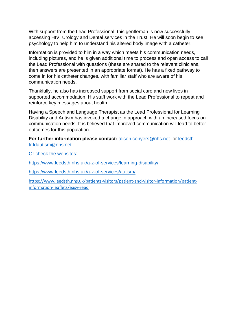With support from the Lead Professional, this gentleman is now successfully accessing HIV, Urology and Dental services in the Trust. He will soon begin to see psychology to help him to understand his altered body image with a catheter.

Information is provided to him in a way which meets his communication needs, including pictures, and he is given additional time to process and open access to call the Lead Professional with questions (these are shared to the relevant clinicians, then answers are presented in an appropriate format). He has a fixed pathway to come in for his catheter changes, with familiar staff who are aware of his communication needs.

Thankfully, he also has increased support from social care and now lives in supported accommodation. His staff work with the Lead Professional to repeat and reinforce key messages about health.

Having a Speech and Language Therapist as the Lead Professional for Learning Disability and Autism has invoked a change in approach with an increased focus on communication needs. It is believed that improved communication will lead to better outcomes for this population.

**For further information please contact:** [alison.conyers@nhs.net](mailto:alison.conyers@nhs.net) or [leedsth](mailto:leedsth-tr.ldautism@nhs.net)[tr.ldautism@nhs.net](mailto:leedsth-tr.ldautism@nhs.net)

Or check the websites:

<https://www.leedsth.nhs.uk/a-z-of-services/learning-disability/>

<https://www.leedsth.nhs.uk/a-z-of-services/autism/>

[https://www.leedsth.nhs.uk/patients-visitors/patient-and-visitor-information/patient](https://www.leedsth.nhs.uk/patients-visitors/patient-and-visitor-information/patient-information-leaflets/easy-read)[information-leaflets/easy-read](https://www.leedsth.nhs.uk/patients-visitors/patient-and-visitor-information/patient-information-leaflets/easy-read)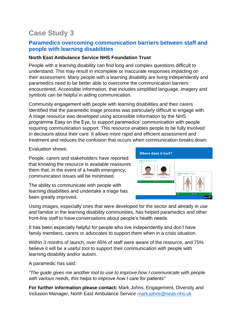## **Paramedics overcoming communication barriers between staff and people with learning disabilities**

### **North East Ambulance Service NHS Foundation Trust**

People with a learning disability can find long and complex questions difficult to understand. This may result in incomplete or inaccurate responses impacting on their assessment. Many people with a learning disability are living independently and paramedics need to be better able to overcome the communication barriers encountered. Accessible information, that includes simplified language, imagery and symbols can be helpful in aiding communication.

Community engagement with people with learning disabilities and their carers identified that the paramedic triage process was particularly difficult to engage with. A triage resource was developed using accessible information by the NHS programme Easy on the Eye, to support paramedics' communication with people requiring communication support. This resource enables people to be fully involved in decisions about their care. It allows more rapid and efficient assessment and treatment and reduces the confusion that occurs when communication breaks down.

Evaluation shows:

People, carers and stakeholders have reported that knowing the resource is available reassures them that, in the event of a health emergency, communication issues will be minimised.



The ability to communicate with people with learning disabilities and undertake a triage has been greatly improved.

Using images, especially ones that were developed for the sector and already in use and familiar in the learning disability communities, has helped paramedics and other front-line staff to have conversations about people's health needs.

It has been especially helpful for people who live independently and don't have family members, carers or advocates to support them when in a crisis situation.

Within 3 months of launch, over 65% of staff were aware of the resource, and 75% believe it will be a useful tool to support their communication with people with learning disability and/or autism.

A paramedic has said:

*"The guide gives me another tool to use to improve how I communicate with people with various needs, this helps to improve how I care for patients"*

**For further information please contact:** Mark Johns, Engagement, Diversity and Inclusion Manager, North East Ambulance Service [mark.johns@neas.nhs.uk](mailto:mark.johns@neas.nhs.uk)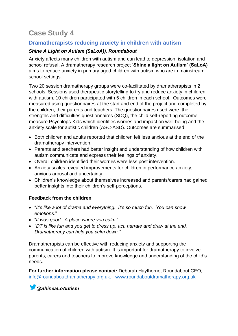## **Dramatherapists reducing anxiety in children with autism**

### *Shine A Light on Autism (SaLoA)), Roundabout*

Anxiety affects many children with autism and can lead to depression, isolation and school refusal. A dramatherapy research project '**Shine a light on Autism' (SaLoA)**  aims to reduce anxiety in primary aged children with autism who are in mainstream school settings.

Two 20 session dramatherapy groups were co-facilitated by dramatherapists in 2 schools. Sessions used therapeutic storytelling to try and reduce anxiety in children with autism. 10 children participated with 5 children in each school. Outcomes were measured using questionnaires at the start and end of the project and completed by the children, their parents and teachers. The questionnaires used were: the strengths and difficulties questionnaires (SDQ), the child self-reporting outcome measure Psychlops-Kids which identifies worries and impact on well-being and the anxiety scale for autistic children (ASC-ASD). Outcomes are summarised:

- Both children and adults reported that children felt less anxious at the end of the dramatherapy intervention.
- Parents and teachers had better insight and understanding of how children with autism communicate and express their feelings of anxiety.
- Overall children identified their worries were less post intervention.
- Anxiety scales revealed improvements for children in performance anxiety, anxious arousal and uncertainty
- Children's knowledge about themselves increased and parents/carers had gained better insights into their children's self-perceptions.

### **Feedback from the children**

- "*It's like a lot of drama and everything. It's so much fun. You can show emotions*."
- "*It was good. A place where you calm*."
- *"DT is like fun and you get to dress up, act, narrate and draw at the end. Dramatherapy can help you calm down."*

Dramatherapists can be effective with reducing anxiety and supporting the communication of children with autism. It is important for dramatherapy to involve parents, carers and teachers to improve knowledge and understanding of the child's needs.

**For further information please contact:** Deborah Haythorne, Roundabout CEO, [info@roundaboutdramatherapy.org.uk,](mailto:info@roundaboutdramatherapy.org.uk) [www.roundaboutdramatherapy.org.uk](http://www.roundaboutdramatherapy.org.uk/)

*@ShineaLoAutism*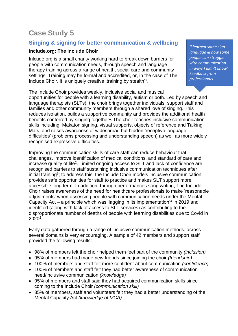## **Singing & signing for better communication & wellbeing**

### **Include.org: The Include Choir**

Inlcude.org is a small charity working hard to break down barriers for people with communication needs, through speech and language therapy training across a range of health, social care and community settings. Training may be formal and accredited, or, in the case of The Include Choir, it is uniquely creative 'training by stealth'<sup>1</sup> .

The Include Choir provides weekly, inclusive social and musical opportunities for people with a learning disability, autism or both. Led by speech and language therapists (SLTs), the choir brings together individuals, support staff and families and other community members through a shared love of singing. This reduces isolation, builds a supportive community and provides the additional health benefits conferred by singing together<sup>1</sup>. The choir teaches inclusive communication skills including: Makaton signing, visual supports, objects of reference and Talking Mats, and raises awareness of widespread but hidden 'receptive language difficulties' (problems processing and understanding speech) as well as more widely recognised expressive difficulties.

Improving the communication skills of care staff can reduce behaviour that challenges, improve identification of medical conditions, and standard of care and increase quality of life<sup>2</sup>. Limited ongoing access to SLT and lack of confidence are recognised barriers to staff sustaining inclusive communication techniques after initial training<sup>3</sup>; to address this, the Include Choir models inclusive communication, provides safe opportunities for staff to practice and makes SLT support more accessible long term. In addition, through performances song writing, The Include Choir raises awareness of the need for healthcare professionals to make 'reasonable adjustments' when assessing people with communication needs under the Mental Capacity Act – a principle which was 'lagging in its implementation'<sup>4</sup> in 2019 and identified (along with lack of access to SLT services) as contributing to the disproportionate number of deaths of people with learning disabilities due to Covid in 2020<sup>2</sup>.

Early data gathered through a range of inclusive communication methods, across several domains is very encouraging. A sample of 42 members and support staff provided the following results:

- 98% of members felt the choir helped them feel part of the community *(inclusion)*
- 95% of members had made new friends since joining the choir *(friendship)*
- 100% of members and staff felt more confident about communication *(confidence)*
- 100% of members and staff felt they had better awareness of communication need/inclusive communication *(knowledge)*
- 95% of members and staff said they had acquired communication skills since coming to the Include Choir *(communication skill)*
- 85% of members, staff and volunteers felt they had a better understanding of the Mental Capacity Act *(knowledge of MCA)*

*'I learned some sign language & how some people can struggle with communication in ways I didn't know' Feedback from professionals*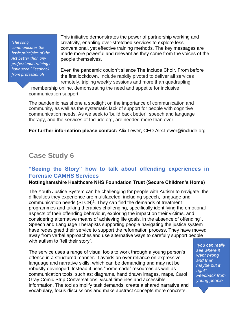*'The song communicates the basic principles of the Act better than any professional training I have seen.' Feedback from professionals*

This initiative demonstrates the power of partnership working and creativity, enabling over-stretched services to explore less conventional, yet effective training methods. The key messages are made more powerful and relevant as they come from the voices of the people themselves.

Even the pandemic couldn't silence The Include Choir. From before the first lockdown, Include rapidly pivoted to deliver all services remotely, tripling weekly sessions and more than quadrupling

membership online, demonstrating the need and appetite for inclusive communication support.

The pandemic has shone a spotlight on the importance of communication and community, as well as the systematic lack of support for people with cognitive communication needs. As we seek to 'build back better', speech and language therapy, and the services of Include.org, are needed more than ever.

**For further information please contact:** Alix Lewer, CEO Alix.Lewer@include.org

# **Case Study 6**

### **"Seeing the Story" how to talk about offending experiences in Forensic CAMHS Services**

#### **Nottinghamshire Healthcare NHS Foundation Trust (Secure Children's Home)**

The Youth Justice System can be challenging for people with Autism to navigate, the difficulties they experience are multifaceted, including speech, language and communication needs  $(SLCN)^1$ . They can find the demands of treatment programmes and talking therapies challenging, specifically identifying the emotional aspects of their offending behaviour, exploring the impact on their victims, and considering alternative means of achieving life goals, in the absence of offending<sup>1</sup>. Speech and Language Therapists supporting people navigating the justice system have redesigned their service to support the reformation process. They have moved away from verbal approaches and use alternative ways to carefully support people with autism to "tell their story".

The service uses a range of visual tools to work through a young person's offence in a structured manner. It avoids an over reliance on expressive language and narrative skills, which can be demanding and may not be robustly developed. Instead it uses "homemade" resources as well as communication tools, such as: diagrams, hand drawn images, maps, Carol Gray Comic Strip Conversations, visual timelines and accessible information. The tools simplify task demands, create a shared narrative and vocabulary, focus discussions and make abstract concepts more concrete.

*"you can really see where it went wrong and then maybe put it right" Feedback from young people*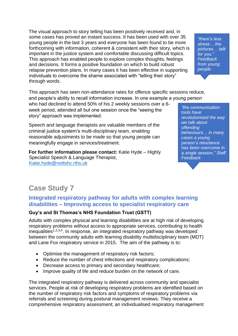The visual approach to story telling has been positively received and, in some cases has proved an instant success. It has been used with over 35 young people in the last 3 years and everyone has been found to be more forthcoming with information, coherent & consistent with their story, which is important in the justice system and comfortable discussing difficult topics. This approach has enabled people to explore complex thoughts, feelings and decisions. It forms a positive foundation on which to build robust relapse prevention plans. In many cases it has been effective in supporting individuals to overcome the shame associated with "telling their story" through words.

This approach has seen non-attendance rates for offence specific sessions reduce, and people's ability to recall information increase. In one example a young person

who had declined to attend 50% of his 2 weekly sessions over a 6 week period, attended all but one session once the "seeing the story" approach was implemented.

Speech and language therapists are valuable members of the criminal justice system's multi-disciplinary team, enabling reasonable adjustments to be made so that young people can meaningfully engage in services/treatment.

**For further information please contact:** Katie Hyde – Highly Specialist Speech & Language Therapist, [Katie.hyde@nottshc.nhs.uk](mailto:Katie.hyde@nottshc.nhs.uk)

*"the communication tools have revolutionised the way we talk about offending behaviours… in many cases a young person's reluctance has been overcome in a single session," Staff Feedback*

# **Case Study 7**

### **Integrated respiratory pathway for adults with complex learning disabilities – Improving access to specialist respiratory care**

### **Guy's and St Thomas's NHS Foundation Trust (GSTT)**

Adults with complex physical and learning disabilities are at high risk of developing respiratory problems without access to appropriate services, contributing to health inequalities<sup>1,2,3,4</sup>. In response, an integrated respiratory pathway was developed between the community adults with learning disability multidisciplinary team (MDT) and Lane Fox respiratory service in 2015. The aim of the pathway is to:

- Optimise the management of respiratory risk factors;
- Reduce the number of chest infections and respiratory complications;
- Decrease access to primary and secondary healthcare;
- Improve quality of life and reduce burden on the network of care.

The integrated respiratory pathway is delivered across community and specialist services. People at risk of developing respiratory problems are identified based on the number of respiratory risk factors and symptoms of respiratory problems via referrals and screening during postural management reviews. They receive a comprehensive respiratory assessment; an individualised respiratory management

*"there's less stress… the pictures… talk for you." Feedback from young people*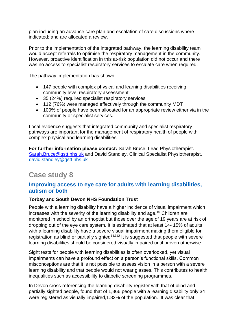plan including an advance care plan and escalation of care discussions where indicated; and are allocated a review.

Prior to the implementation of the integrated pathway, the learning disability team would accept referrals to optimise the respiratory management in the community. However, proactive identification in this at-risk population did not occur and there was no access to specialist respiratory services to escalate care when required.

The pathway implementation has shown:

- 147 people with complex physical and learning disabilities receiving community level respiratory assessment
- 35 (24%) required specialist respiratory services
- 112 (76%) were managed effectively through the community MDT
- 100% of people have been allocated for an appropriate review either via in the community or specialist services.

Local evidence suggests that integrated community and specialist respiratory pathways are important for the management of respiratory health of people with complex physical and learning disabilities.

**For further information please contact:** Sarah Bruce, Lead Physiotherapist. [Sarah.Bruce@gstt.nhs.uk](mailto:Sarah.Bruce@gstt.nhs.uk) and David Standley, Clinical Specialist Physiotherapist. [david.standley@gstt.nhs.uk](mailto:david.standley@gstt.nhs.uk)

# **Case study 8**

## **Improving access to eye care for adults with learning disabilities, autism or both**

### **Torbay and South Devon NHS Foundation Trust**

People with a learning disability have a higher incidence of visual impairment which increases with the severity of the learning disability and age.<sup>10</sup> Children are monitored in school by an orthoptist but those over the age of 19 years are at risk of dropping out of the eye care system. It is estimated that at least 14- 15% of adults with a learning disability have a severe visual impairment making them eligible for registration as blind or partially sighted<sup> $11812$ </sup> It is suggested that people with severe learning disabilities should be considered visually impaired until proven otherwise.

Sight tests for people with learning disabilities is often overlooked, yet visual impairments can have a profound effect on a person's functional skills. Common misconceptions are that it is not possible to assess vision in a person with a severe learning disability and that people would not wear glasses. This contributes to health inequalities such as accessibility to diabetic screening programmes.

In Devon cross-referencing the learning disability register with that of blind and partially sighted people, found that of 1,866 people with a learning disability only 34 were registered as visually impaired,1.82% of the population. It was clear that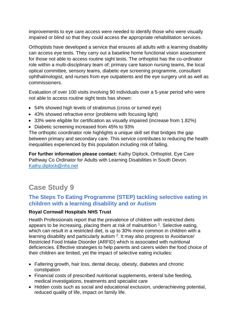improvements to eye care access were needed to identify those who were visually impaired or blind so that they could access the appropriate rehabilitation services.

Orthoptists have developed a service that ensures all adults with a learning disability can access eye tests. They carry out a baseline home functional vision assessment for those not able to access routine sight tests. The orthoptist has the co-ordinator role within a multi-disciplinary team of; primary care liaison nursing teams, the local optical committee, sensory teams, diabetic eye screening programme, consultant ophthalmologist, and nurses from eye outpatients and the eye surgery unit as well as commissioners.

Evaluation of over 100 visits involving 90 individuals over a 5-year period who were not able to access routine sight tests has shown:

- 54% showed high levels of strabismus (cross or turned eye)
- 43% showed refractive error (problems with focusing light)
- 33% were eligible for certification as visually impaired (increase from 1.82%)
- Diabetic screening increased from 45% to 93%

The orthoptic coordinator role highlights a unique skill set that bridges the gap between primary and secondary care. This service contributes to reducing the health inequalities experienced by this population including risk of falling.

**For further information please contact:** Kathy Diplock, Orthoptist. Eye Care Pathway Co Ordinator for Adults with Learning Disabilities in South Devon. [Kathy.diplock@nhs.net](mailto:Kathy.diplock@nhs.net)

# **Case Study 9**

## **The Steps To Eating Programme (STEP) tackling selective eating in children with a learning disability and or Autism**

### **Royal Cornwall Hospitals NHS Trust**

Health Professionals report that the prevalence of children with restricted diets appears to be increasing, placing them at risk of malnutrition  $1$ . Selective eating, which can result in a restricted diet, is up to 30% more common in children with a learning disability and particularly autism  $2$ . It may also progress to Avoidance/ Restricted Food Intake Disorder (ARFID) which is associated with nutritional deficiencies. Effective strategies to help parents and carers widen the food choice of their children are limited, yet the impact of selective eating includes:

- Faltering growth, hair loss, dental decay, obesity, diabetes and chronic constipation
- Financial costs of prescribed nutritional supplements, enteral tube feeding, medical investigations, treatments and specialist care
- Hidden costs such as social and educational exclusion, underachieving potential, reduced quality of life, impact on family life.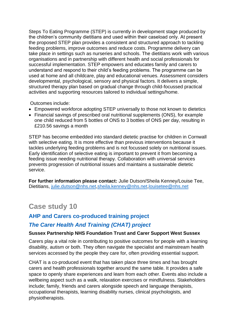Steps To Eating Programme (STEP) is currently in development stage produced by the children's community dietitians and used within their caseload only. At present the proposed STEP plan provides a consistent and structured approach to tackling feeding problems, improve outcomes and reduce costs. Programme delivery can take place in settings such as nurseries and schools. The dietitians work with various organisations and in partnership with different health and social professionals for successful implementation. STEP empowers and educates family and carers to understand and respond to their child's feeding problems. The programme can be used at home and all childcare, play and educational venues. Assessment considers developmental, psychological, sensory and physical factors. It delivers a simple, structured therapy plan based on gradual change through child-focussed practical activities and supporting resources tailored to individual settings/home.

Outcomes include:

- Empowered workforce adopting STEP universally to those not known to dietetics
- Financial savings of prescribed oral nutritional supplements (ONS), for example one child reduced from 5 bottles of ONS to 3 bottles of ONS per day, resulting in £210.56 savings a month

STEP has become embedded into standard dietetic practise for children in Cornwall with selective eating. It is more effective than previous interventions because it tackles underlying feeding problems and is not focussed solely on nutritional issues. Early identification of selective eating is important to prevent it from becoming a feeding issue needing nutritional therapy. Collaboration with universal services prevents progression of nutritional issues and maintains a sustainable dietetic service.

**For further information please contact:** Julie Dutson/Sheila Kenney/Louise Tee, Dietitians, [julie.dutson@nhs.net](mailto:julie.dutson@nhs.net)[,sheila.kenney@nhs.net,](mailto:sheila.kenney@nhs.net)[louisetee@nhs.net](mailto:louisetee@nhs.net)

# **Case study 10**

## **AHP and Carers co-produced training project**

### *The Carer Health And Training (CHAT) project*

### **Sussex Partnership NHS Foundation Trust and Carer Support West Sussex**

Carers play a vital role in contributing to positive outcomes for people with a learning disability, autism or both. They often navigate the specialist and mainstream health services accessed by the people they care for, often providing essential support.

CHAT is a co-produced event that has taken place three times and has brought carers and health professionals together around the same table. It provides a safe space to openly share experiences and learn from each other. Events also include a wellbeing aspect such as a walk, relaxation exercises or mindfulness. Stakeholders include; family, friends and carers alongside speech and language therapists, occupational therapists, learning disability nurses, clinical psychologists, and physiotherapists.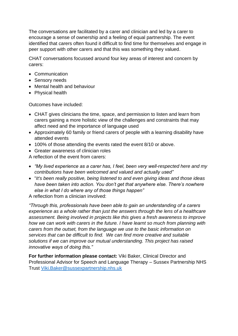The conversations are facilitated by a carer and clinician and led by a carer to encourage a sense of ownership and a feeling of equal partnership. The event identified that carers often found it difficult to find time for themselves and engage in peer support with other carers and that this was something they valued.

CHAT conversations focussed around four key areas of interest and concern by carers:

- Communication
- Sensory needs
- Mental health and behaviour
- Physical health

Outcomes have included:

- CHAT gives clinicians the time, space, and permission to listen and learn from carers gaining a more holistic view of the challenges and constraints that may affect need and the importance of language used
- Approximately 60 family or friend carers of people with a learning disability have attended events
- 100% of those attending the events rated the event 8/10 or above.
- Greater awareness of clinician roles

A reflection of the event from carers:

- *"My lived experience as a carer has, I feel, been very well-respected here and my contributions have been welcomed and valued and actually used"*
- "*It's been really positive, being listened to and even giving ideas and those ideas have been taken into action. You don't get that anywhere else. There's nowhere else in what I do where any of those things happen"*

A reflection from a clinician involved:

*"Through this, professionals have been able to gain an understanding of a carers experience as a whole rather than just the answers through the lens of a healthcare assessment. Being involved in projects like this gives a fresh awareness to improve how we can work with carers in the future. I have learnt so much from planning with carers from the outset, from the language we use to the basic information on services that can be difficult to find. We can find more creative and suitable solutions if we can improve our mutual understanding. This project has raised innovative ways of doing this."*

**For further information please contact:** Viki Baker, Clinical Director and Professional Advisor for Speech and Language Therapy – Sussex Partnership NHS Trust [Viki.Baker@sussexpartnership.nhs.uk](mailto:Viki.Baker@sussexpartnership.nhs.uk)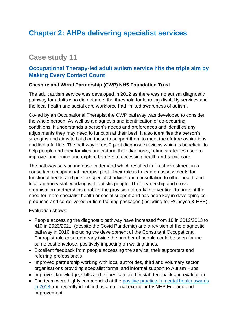# **Chapter 2: AHPs delivering specialist services**

# **Case study 11**

## **Occupational Therapy-led adult autism service hits the triple aim by Making Every Contact Count**

### **Cheshire and Wirral Partnership (CWP) NHS Foundation Trust**

The adult autism service was developed in 2012 as there was no autism diagnostic pathway for adults who did not meet the threshold for learning disability services and the local health and social care workforce had limited awareness of autism.

Co-led by an Occupational Therapist the CWP pathway was developed to consider the whole person. As well as a diagnosis and identification of co-occurring conditions, it understands a person's needs and preferences and identifies any adjustments they may need to function at their best. It also identifies the person's strengths and aims to build on these to support them to meet their future aspirations and live a full life. The pathway offers 2 post diagnostic reviews which is beneficial to help people and their families understand their diagnosis, refine strategies used to improve functioning and explore barriers to accessing health and social care.

The pathway saw an increase in demand which resulted in Trust investment in a consultant occupational therapist post. Their role is to lead on assessments for functional needs and provide specialist advice and consultation to other health and local authority staff working with autistic people. Their leadership and cross organisation partnerships enables the provision of early intervention, to prevent the need for more specialist health or social support and has been key in developing coproduced and co-delivered Autism training packages (including for RCpsych & HEE).

Evaluation shows:

- People accessing the diagnostic pathway have increased from 18 in 2012/2013 to 410 in 2020/2021, (despite the Covid Pandemic) and a revision of the diagnostic pathway in 2016, including the development of the Consultant Occupational Therapist role ensured nearly twice the number of people could be seen for the same cost envelope, positively impacting on waiting times.
- Excellent feedback from people accessing the service, their supporters and referring professionals
- Improved partnership working with local authorities, third and voluntary sector organisations providing specialist formal and informal support to Autism Hubs
- Improved knowledge, skills and values captured in staff feedback and evaluation
- The team were highly commended at the positive practice in mental health awards [in 2018](http://positivepracticemh.com/news/cwp-health-trust-wins-children-young-peoples-mental-health-innovation-award-cwpnhs) and recently identified as a national exemplar by NHS England and Improvement.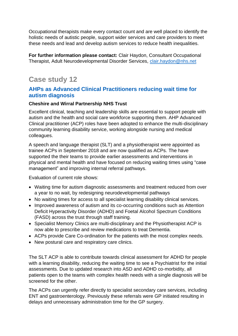Occupational therapists make every contact count and are well placed to identify the holistic needs of autistic people, support wider services and care providers to meet these needs and lead and develop autism services to reduce health inequalities.

**For further information please contact:** Clair Haydon, Consultant Occupational Therapist, Adult Neurodevelopmental Disorder Services, [clair.haydon@nhs.net](mailto:clair.haydon@nhs.net)

# **Case study 12**

### **AHPs as Advanced Clinical Practitioners reducing wait time for autism diagnosis**

#### **Cheshire and Wirral Partnership NHS Trust**

Excellent clinical, teaching and leadership skills are essential to support people with autism and the health and social care workforce supporting them. AHP Advanced Clinical practitioner (ACP) roles have been adopted to enhance the multi-disciplinary community learning disability service, working alongside nursing and medical colleagues.

A speech and language therapist (SLT) and a physiotherapist were appointed as trainee ACPs in September 2018 and are now qualified as ACPs. The have supported the their teams to provide earlier assessments and interventions in physical and mental health and have focused on reducing waiting times using "case management" and improving internal referral pathways.

Evaluation of current role shows:

- Waiting time for autism diagnostic assessments and treatment reduced from over a year to no wait, by redesigning neurodevelopmental pathways
- No waiting times for access to all specialist learning disability clinical services.
- Improved awareness of autism and its co-occurring conditions such as Attention Deficit Hyperactivity Disorder (ADHD) and Foetal Alcohol Spectrum Conditions (FASD) across the trust through staff training.
- Specialist Memory Clinics are multi-disciplinary and the Physiotherapist ACP is now able to prescribe and review medications to treat Dementia.
- ACPs provide Care Co-ordination for the patients with the most complex needs.
- New postural care and respiratory care clinics.

The SLT ACP is able to contribute towards clinical assessment for ADHD for people with a learning disability, reducing the waiting time to see a Psychiatrist for the initial assessments. Due to updated research into ASD and ADHD co-morbidity, all patients open to the teams with complex health needs with a single diagnosis will be screened for the other.

The ACPs can urgently refer directly to specialist secondary care services, including ENT and gastroenterology. Previously these referrals were GP initiated resulting in delays and unnecessary administration time for the GP surgery.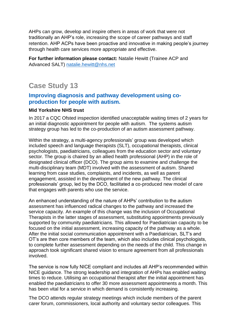AHPs can grow, develop and inspire others in areas of work that were not traditionally an AHP's role, increasing the scope of career pathways and staff retention. AHP ACPs have been proactive and innovative in making people's journey through health care services more appropriate and effective.

**For further information please contact:** Natalie Hewitt (Trainee ACP and Advanced SALT) [natalie.hewitt@nhs.net](mailto:natalie.hewitt@nhs.net)

# **Case Study 13**

### **Improving diagnosis and pathway development using coproduction for people with autism.**

### **Mid Yorkshire NHS trust**

In 2017 a CQC Ofsted inspection identified unacceptable waiting times of 2 years for an initial diagnostic appointment for people with autism. The systems autism strategy group has led to the co-production of an autism assessment pathway.

Within the strategy, a multi-agency professionals' group was developed which included speech and language therapists (SLT), occupational therapists, clinical psychologists, paediatricians, colleagues from the education sector and voluntary sector. The group is chaired by an allied health professional (AHP) in the role of designated clinical officer (DCO). The group aims to examine and challenge the multi-disciplinary team (MDT) involved with the assessment of autism. Shared learning from case studies, complaints, and incidents, as well as parent engagement, assisted in the development of the new pathway. The clinical professionals' group, led by the DCO, facilitated a co-produced new model of care that engages with parents who use the service.

An enhanced understanding of the nature of AHPs' contribution to the autism assessment has influenced radical changes to the pathway and increased the service capacity. An example of this change was the inclusion of Occupational Therapists in the latter stages of assessment, substituting appointments previously supported by community paediatricians. This allowed for Paediatrician capacity to be focused on the initial assessment, increasing capacity of the pathway as a whole. After the initial social communication appointment with a Paediatrician, SLT's and OT's are then core members of the team, which also includes clinical psychologists, to complete further assessment depending on the needs of the child. This change in approach took significant shared vision to ensure agreement from all professionals involved.

The service is now fully NICE compliant and includes all AHP's recommended within NICE guidance. The strong leadership and integration of AHPs has enabled waiting times to reduce. Utilising an occupational therapist after the initial appointment has enabled the paediatricians to offer 30 more assessment appointments a month. This has been vital for a service in which demand is consistently increasing.

The DCO attends regular strategy meetings which include members of the parent carer forum, commissioners, local authority and voluntary sector colleagues. This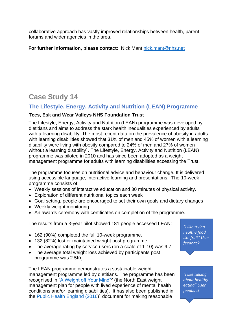collaborative approach has vastly improved relationships between health, parent forums and wider agencies in the area.

**For further information, please contact:** Nick Mant [nick.mant@nhs.net](mailto:nick.mant@nhs.net)

# **Case Study 14**

## **The Lifestyle, Energy, Activity and Nutrition (LEAN) Programme**

### **Tees, Esk and Wear Valleys NHS Foundation Trust**

The Lifestyle, Energy, Activity and Nutrition (LEAN) programme was developed by dietitians and aims to address the stark health inequalities experienced by adults with a learning disability. The most recent data on the prevalence of obesity in adults with learning disabilities showed that 31% of men and 45% of women with a learning disability were living with obesity compared to 24% of men and 27% of women without a learning disability<sup>1</sup>. The Lifestyle, Energy, Activity and Nutrition (LEAN) programme was piloted in 2010 and has since been adopted as a weight management programme for adults with learning disabilities accessing the Trust.

The programme focuses on nutritional advice and behaviour change. It is delivered using accessible language, interactive learning and presentations. The 10-week programme consists of:

- Weekly sessions of interactive education and 30 minutes of physical activity.
- Exploration of different nutritional topics each week
- Goal setting, people are encouraged to set their own goals and dietary changes
- Weekly weight monitoring.
- An awards ceremony with certificates on completion of the programme.

The results from a 3-year pilot showed 181 people accessed LEAN:

- 162 (90%) completed the full 10-week programme.
- 132 (82%) lost or maintained weight post programme
- The average rating by service users (on a scale of 1-10) was 9.7.
- The average total weight loss achieved by participants post programme was 2.5Kg.

The LEAN programme demonstrates a sustainable weight management programme led by dietitians. The programme has been recognised in ["A Weight off Your Mind"](https://www.tewv.nhs.uk/about-your-care/health-wellbeing/weight-off-your-mind/)<sup>2</sup> (the North East weight management plan for people with lived experience of mental health conditions and/or learning disabilities). It has also been published in the Public Health [England \(2016](https://www.ndti.org.uk/uploads/files/Obesity_RA_report_final.pdf)) <sup>1</sup> document for making reasonable

*"I like trying healthy food like fruit" User feedback*

*"I like talking about healthy eating" User feedback*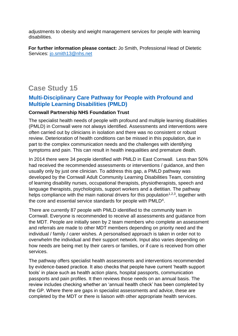adjustments to obesity and weight management services for people with learning disabilities.

**For further information please contact:** Jo Smith, Professional Head of Dietetic Services: [jo.smith13@nhs.net](mailto:jo.smith13@nhs.net)

# **Case Study 15**

## **Multi-Disciplinary Care Pathway for People with Profound and Multiple Learning Disabilities (PMLD)**

### **Cornwall Partnership NHS Foundation Trust**

The specialist health needs of people with profound and multiple learning disabilities (PMLD) in Cornwall were not always identified. Assessments and interventions were often carried out by clinicians in isolation and there was no consistent or robust review. Deterioration of health conditions can be missed in this population, due in part to the complex communication needs and the challenges with identifying symptoms and pain. This can result in health inequalities and premature death.

In 2014 there were 34 people identified with PMLD in East Cornwall. Less than 50% had received the recommended assessments or interventions / guidance, and then usually only by just one clinician. To address this gap, a PMLD pathway was developed by the Cornwall Adult Community Learning Disabilities Team, consisting of learning disability nurses, occupational therapists, physiotherapists, speech and language therapists, psychologists, support workers and a dietitian. The pathway helps compliance with the main national drivers for this population<sup>1,2,3</sup>, together with the core and essential service standards for people with PMLD<sup>4</sup>.

There are currently 87 people with PMLD identified to the community team in Cornwall. Everyone is recommended to receive all assessments and guidance from the MDT. People are initially seen by 2 team members who complete an assessment and referrals are made to other MDT members depending on priority need and the individual / family / carer wishes. A personalised approach is taken in order not to overwhelm the individual and their support network. Input also varies depending on how needs are being met by their carers or families, or if care is received from other services.

The pathway offers specialist health assessments and interventions recommended by evidence-based practice. It also checks that people have current 'health support tools' in place such as health action plans, hospital passports, communication passports and pain profiles. It then reviews those needs on an annual basis. The review includes checking whether an 'annual health check' has been completed by the GP. Where there are gaps in specialist assessments and advice, these are completed by the MDT or there is liaison with other appropriate health services.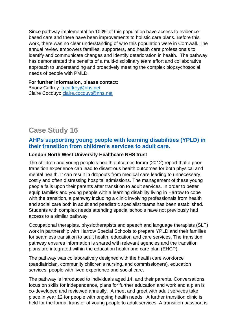Since pathway implementation 100% of this population have access to evidencebased care and there have been improvements to holistic care plans. Before this work, there was no clear understanding of who this population were in Cornwall. The annual review empowers families, supporters, and health care professionals to identify and communicate changes and identify deterioration in health. The pathway has demonstrated the benefits of a multi-disciplinary team effort and collaborative approach to understanding and proactively meeting the complex biopsychosocial needs of people with PMLD.

**For further information, please contact:** 

Briony Caffrey: [b.caffrey@nhs.net](mailto:b.caffrey@nhs.net) Claire Cocquyt: [claire.cocquyt@nhs.net](mailto:claire.cocquyt@nhs.net)

## **Case Study 16**

### **AHPs supporting young people with learning disabilities (YPLD) in their transition from children's services to adult care.**

#### **London North West University Healthcare NHS trust**

The children and young people's health outcomes forum (2012) report that a poor transition experience can lead to disastrous health outcomes for both physical and mental health. It can result in dropouts from medical care leading to unnecessary, costly and often distressing hospital admissions. The management of these young people falls upon their parents after transition to adult services. In order to better equip families and young people with a learning disability living in Harrow to cope with the transition, a pathway including a clinic involving professionals from health and social care both in adult and paediatric specialist teams has been established. Students with complex needs attending special schools have not previously had access to a similar pathway.

Occupational therapists, physiotherapists and speech and language therapists (SLT) work in partnership with Harrow Special Schools to prepare YPLD and their families for seamless transition to adult health, education and care services. The transition pathway ensures information is shared with relevant agencies and the transition plans are integrated within the education health and care plan (EHCP).

The pathway was collaboratively designed with the health care workforce (paediatrician, community children's nursing, and commissioners), education services, people with lived experience and social care.

The pathway is introduced to individuals aged 14, and their parents. Conversations focus on skills for independence, plans for further education and work and a plan is co-developed and reviewed annually. A meet and greet with adult services take place in year 12 for people with ongoing health needs. A further transition clinic is held for the formal transfer of young people to adult services. A transition passport is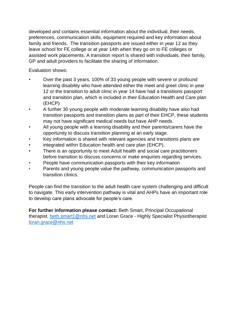developed and contains essential information about the individual, their needs, preferences, communication skills, equipment required and key information about family and friends. The transition passports are issued either in year 12 as they leave school for FE college or at year 14th when they go on to FE colleges or assisted work placements. A transition report is shared with individuals, their family, GP and adult providers to facilitate the sharing of information.

Evaluation shows:

- Over the past 3 years, 100% of 33 young people with severe or profound learning disability who have attended either the meet and greet clinic in year 12 or the transition to adult clinic in year 14 have had a transitions passport and transition plan, which is included in their Education Health and Care plan (EHCP)
- A further 30 young people with moderate learning disability have also had transition passports and transition plans as part of their EHCP, these students may not have significant medical needs but have AHP needs.
- All young people with a learning disability and their parents/carers have the opportunity to discuss transition planning at an early stage.
- Key information is shared with relevant agencies and transitions plans are
- integrated within Education health and care plan (EHCP).
- There is an opportunity to meet Adult health and social care practitioners before transition to discuss concerns or make enquiries regarding services.
- People have communication passports with their key information
- Parents and young people value the pathway, communication passports and transition clinics.

People can find the transition to the adult health care system challenging and difficult to navigate. This early intervention pathway is vital and AHPs have an important role to develop care plans advocate for people's care.

**For further information please contact:** Beth Smart, Principal Occupational therapist. [beth.smart1@nhs.net](mailto:beth.smart1@nhs.net) and Loran Grace - Highly Specialist Physiotherapist [loran.grace@nhs.net](mailto:loran.grace@nhs.net)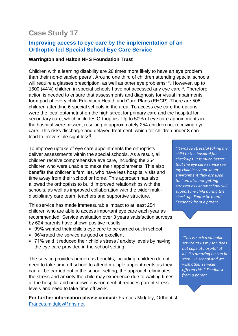## **Improving access to eye care by the implementation of an Orthoptic-led Special School Eye Care Service**.

#### **Warrington and Halton NHS Foundation Trust**

Children with a learning disability are 28 times more likely to have an eye problem than their non-disabled peers<sup>1</sup>. Around one third of children attending special schools will require a glasses prescription, as well as other eye problems<sup>2,3</sup>. However, up to 1500 (44%) children in special schools have not accessed any eye care <sup>4</sup>. Therefore, action is needed to ensure that assessments and diagnosis for visual impairments form part of every child Education Health and Care Plans (EHCP). There are 508 children attending 6 special schools in the area. To access eye care the options were the local optometrist on the high street for primary care and the hospital for secondary care, which includes Orthoptics. Up to 50% of eye care appointments in the hospital were missed, resulting in approximately 254 children not receiving eye care. This risks discharge and delayed treatment, which for children under 8 can lead to irreversible sight loss<sup>5</sup>.

To improve uptake of eye care appointments the orthoptists deliver assessments within the special schools. As a result, all children receive comprehensive eye care, including the 254 children who were unable to make their appointments. This also benefits the children's families, who have less hospital visits and time away from their school or home. This approach has also allowed the orthoptists to build improved relationships with the schools, as well as improved collaboration with the wider multidisciplinary care team, teachers and supportive structure.

This service has made immeasurable impact to at least 254 children who are able to access important eye care each year as recommended. Service evaluation over 3 years satisfaction surveys by 624 parents have shown positive results;

- 99% wanted their child's eye care to be carried out in school
- 96%rated the service as good or excellent
- 71% said it reduced their child's stress / anxiety levels by having the eye care provided in the school setting

The service provides numerous benefits, including; children do not need to take time off school to attend multiple appointments as they can all be carried out in the school setting, the approach eliminates the stress and anxiety the child may experience due to waiting times at the hospital and unknown environment, it reduces parent stress levels and need to take time off work.

**For further information please contact:** Frances Midgley, Orthoptist, [Frances.midgley@nhs.net](mailto:Frances.midgley@nhs.net)

*"It was so stressful taking my child to the hospital for check-ups. It is much better that the eye care service see my child in school. In an environment they are used to. I am also not getting stressed as I know school will support my child during the check-up. Fantastic team" Feedback from a parent*

> *"This is such a valuable service to us my son does not cope at hospital at all. It's amazing he can be seen …in school and we wish other services offered this." Feedback from a parent*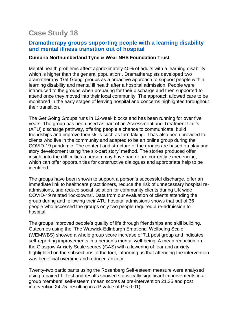### **Dramatherapy groups supporting people with a learning disability and mental illness transition out of hospital**

#### **Cumbria Northumberland Tyne & Wear NHS Foundation Trust**

Mental health problems affect approximately 40% of adults with a learning disability which is higher than the general population<sup>1</sup>. Dramatherapists developed two dramatherapy 'Get Going' groups as a proactive approach to support people with a learning disability and mental ill health after a hospital admission. People were introduced to the groups when preparing for their discharge and then supported to attend once they moved into their local community. The approach allowed care to be monitored in the early stages of leaving hospital and concerns highlighted throughout their transition.

The Get Going Groups runs in 12-week blocks and has been running for over five years. The group has been used as part of an Assessment and Treatment Unit's (ATU) discharge pathway, offering people a chance to communicate, build friendships and improve their skills such as turn taking. It has also been provided to clients who live in the community and adapted to be an online group during the COVID-19 pandemic. The content and structure of the groups are based on play and story development using 'the six-part story' method. The stories produced offer insight into the difficulties a person may have had or are currently experiencing, which can offer opportunities for constructive dialogues and appropriate help to be identified.

The groups have been shown to support a person's successful discharge, offer an immediate link to healthcare practitioners, reduce the risk of unnecessary hospital readmissions, and reduce social isolation for community clients during UK wide COVID-19 related 'lockdowns'. Data from our evaluation of clients attending the group during and following their ATU hospital admissions shows that out of 36 people who accessed the groups only two people required a re-admission to hospital.

The groups improved people's quality of life through friendships and skill building. Outcomes using the 'The Warwick-Edinburgh Emotional Wellbeing Scale' (WEMWBS) showed a whole group score increase of 7.1 post group and indicates self-reporting improvements in a person's mental well-being. A mean reduction on the Glasgow Anxiety Scale scores (GAS) with a lowering of fear and anxiety highlighted on the subsections of the tool, informing us that attending the intervention was beneficial overtime and reduced anxiety.

Twenty-two participants using the Rosenberg Self-esteem measure were analysed using a paired T-Test and results showed statistically significant improvements in all group members' self-esteem (mean scores at pre-intervention 21.35 and post intervention 24.75. resulting in a P value of  $P < 0.01$ ).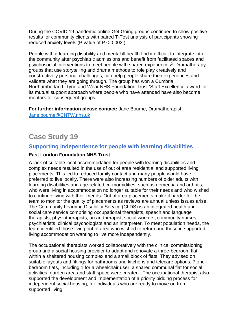During the COVID 19 pandemic online Get Going groups continued to show positive results for community clients with paired T-Test analysis of participants showing reduced anxiety levels (P value of  $P < 0.002$ .).

People with a learning disability and mental ill health find it difficult to integrate into the community after psychiatric admissions and benefit from facilitated spaces and psychosocial interventions to meet people with shared experiences<sup>2</sup>. Dramatherapy groups that use storytelling and drama methods to role play creatively and constructively personal challenges, can help people share their experiences and validate what they are going through. The group has won a Cumbria, Northumberland, Tyne and Wear NHS Foundation Trust 'Staff Excellence' award for its mutual support approach where people who have attended have also become mentors for subsequent groups.

**For further information please contact:** Jane Bourne, Dramatherapist [Jane.bourne@CNTW.nhs.uk](mailto:Jane.bourne@CNTW.nhs.uk)

# **Case Study 19**

### **Supporting Independence for people with learning disabilities**

### **East London Foundation NHS Trust**

A lack of suitable local accommodation for people with learning disabilities and complex needs resulted in the use of out of area residential and supported living placements. This led to reduced family contact and many people would have preferred to live locally. There were also increasing numbers of older adults with learning disabilities and age-related co-morbidities, such as dementia and arthritis, who were living in accommodation no longer suitable for their needs and who wished to continue living with their friends. Out of area placements make it harder for the team to monitor the quality of placements as reviews are annual unless issues arise. The Community Learning Disability Service (CLDS) is an integrated health and social care service comprising occupational therapists, speech and language therapists, physiotherapists, an art therapist, social workers, community nurses, psychiatrists, clinical psychologists and an interpreter. To meet population needs, the team identified those living out of area who wished to return and those in supported living accommodation wanting to live more independently.

The occupational therapists worked collaboratively with the clinical commissioning group and a social housing provider to adapt and renovate a three-bedroom flat within a sheltered housing complex and a small block of flats. They advised on suitable layouts and fittings for bathrooms and kitchens and telecare options. 7 onebedroom flats, including 1 for a wheelchair user, a shared communal flat for social activities, garden area and staff space were created. The occupational therapist also supported the development and implementation of a priority bidding process for independent social housing, for individuals who are ready to move on from supported living.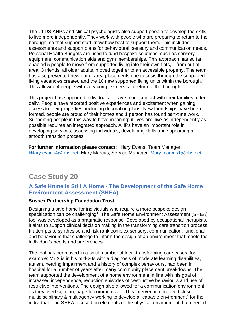The CLDS AHPs and clinical psychologists also support people to develop the skills to live more independently. They work with people who are preparing to return to the borough, so that support staff know how best to support them. This includes assessments and support plans for behavioural, sensory and communication needs. Personal Health Budgets are used to fund bespoke solutions, such as sensory equipment, communication aids and gym memberships. This approach has so far enabled 5 people to move from supported living into their own flats, 1 from out of area. 3 friends, all older adults, moved together to an accessible property. The team has also prevented new out of area placements due to crisis through the supported living vacancies created and the 10 new supported living units within the borough. This allowed 4 people with very complex needs to return to the borough.

This project has supported individuals to have more contact with their families, often daily. People have reported positive experiences and excitement when gaining access to their properties, including decoration plans. New friendships have been formed, people are proud of their homes and 1 person has found part-time work. Supporting people in this way to have meaningful lives and live as independently as possible requires an integrated approach. AHPs have an important role in developing services, assessing individuals, developing skills and supporting a smooth transition process.

**For further information please contact:** Hilary Evans, Team Manager: [Hilary.evans4@nhs.net,](mailto:Hilary.evans4@nhs.net) Mary Marcus, Service Manager: [Mary.marcus1@nhs.net](mailto:Mary.marcus1@nhs.net)

# **Case Study 20**

### **A Safe Home Is Still A Home - The Development of the Safe Home Environment Assessment (SHEA)**

#### **Sussex Partnership Foundation Trust**

Designing a safe home for individuals who require a more bespoke design specification can be challenging<sup>1</sup>. The Safe Home Environment Assessment (SHEA) tool was developed as a pragmatic response. Developed by occupational therapists, it aims to support clinical decision making in the transforming care transition process. It attempts to synthesise and risk rank complex sensory, communication, functional and behaviours that challenge to inform the design of an environment that meets the individual's needs and preferences.

The tool has been used in a small number of local transforming care cases, for example: Mr X is in his mid-20s with a diagnosis of moderate learning disabilities, autism, hearing impairment and a history of complex behaviours, had been in hospital for a number of years after many community placement breakdowns. The team supported the development of a home environment in line with his goal of increased independence, reduction episodes of destructive behaviours and use of restrictive interventions. The design also allowed for a communication environment as they used sign language to communicate. This intervention involved close multidisciplinary & multiagency working to develop a "capable environment" for the individual. The SHEA focused on elements of the physical environment that needed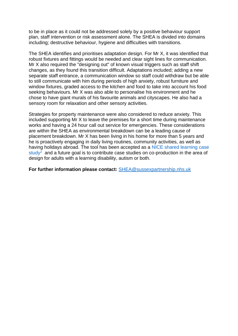to be in place as it could not be addressed solely by a positive behaviour support plan, staff intervention or risk assessment alone. The SHEA is divided into domains including; destructive behaviour, hygiene and difficulties with transitions.

The SHEA identifies and prioritises adaptation design. For Mr X, it was identified that robust fixtures and fittings would be needed and clear sight lines for communication. Mr X also required the "designing out" of known visual triggers such as staff shift changes, as they found this transition difficult. Adaptations included; adding a new separate staff entrance, a communication window so staff could withdraw but be able to still communicate with him during periods of high anxiety, robust furniture and window fixtures, graded access to the kitchen and food to take into account his food seeking behaviours. Mr X was also able to personalise his environment and he chose to have giant murals of his favourite animals and cityscapes. He also had a sensory room for relaxation and other sensory activities.

Strategies for property maintenance were also considered to reduce anxiety. This included supporting Mr X to leave the premises for a short time during maintenance works and having a 24 hour call out service for emergencies. These considerations are within the SHEA as environmental breakdown can be a leading cause of placement breakdown. Mr X has been living in his home for more than 5 years and he is proactively engaging in daily living routines, community activities, as well as having holidays abroad. The tool has been accepted as a [NICE shared learning case](https://www.nice.org.uk/sharedlearning/a-safe-home-is-still-a-home)  [study](https://www.nice.org.uk/sharedlearning/a-safe-home-is-still-a-home)<sup>2</sup> and a future goal is to contribute case studies on co-production in the area of design for adults with a learning disability, autism or both.

**For further information please contact:** [SHEA@sussexpartnership.nhs.uk](mailto:SHEA@sussexpartnership.nhs.uk)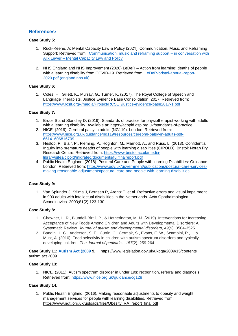#### **References:**

#### **Case Study 5:**

- 1. Ruck-Keene, A: Mental Capacity Law & Policy (2021) 'Communication, Music and Reframing Support: Retrieved from: [Communication, music and reframing support –](https://www.mentalcapacitylawandpolicy.org.uk/support-music-and-reframing-support-in-conversation-with-alix-lewer/) in conversation with Alix Lewer – [Mental Capacity Law and Policy](https://www.mentalcapacitylawandpolicy.org.uk/support-music-and-reframing-support-in-conversation-with-alix-lewer/)
- 2. NHS England and NHS Improvement (2020) LeDeR Action from learning: deaths of people with a learning disability from COVID-19. Retrieved from: [LeDeR-bristol-annual-report-](https://www.england.nhs.uk/wp-content/uploads/2021/06/LeDeR-bristol-annual-report-2020.pdf)[2020.pdf \(england.nhs.uk\)](https://www.england.nhs.uk/wp-content/uploads/2021/06/LeDeR-bristol-annual-report-2020.pdf)

#### **Case Study 6:**

1. Coles, H., Gillett, K., Murray, G., Turner, K. (2017). The Royal College of Speech and Language Therapists. Justice Evidence Base Consolidation: 2017. Retrieved from: <https://www.rcslt.org/-/media/Project/RCSLT/justice-evidence-base2017-1.pdf>

#### **Case Study 7:**

- 1. Bruce S and Standley D. (2019). Standards of practice for physiotherapist working with adults with a learning disability. Available at: [https://acppld.csp.org.uk/standards-of-practice](http://scanmail.trustwave.com/?c=8248&d=v8zo3QyNM5exL3tnlH3Gy3-_zb2eWroemn2iG73ZJg&u=https%3a%2f%2facppld%2ecsp%2eorg%2euk%2fstandards-of-practice)
- 2. NICE. (2019). Cerebral palsy in adults (NG119). London. Retrieved from: [https://www.nice.org.uk/guidance/ng119/resources/cerebral-palsy-in-adults-pdf-](https://www.nice.org.uk/guidance/ng119/resources/cerebral-palsy-in-adults-pdf-66141606816709)[66141606816709](https://www.nice.org.uk/guidance/ng119/resources/cerebral-palsy-in-adults-pdf-66141606816709)
- 3. Heslop, P., Blair, P., Fleming, P., Hoghton, M., Marriott, A., and Russ, L. (2013). Confidential Inquiry into premature deaths of people with learning disabilities (CIPOLD). Bristol: Norah Fry Research Centre. Retrieved from: [https://www.bristol.ac.uk/media](https://www.bristol.ac.uk/media-library/sites/cipold/migrated/documents/fullfinalreport.pdf)[library/sites/cipold/migrated/documents/fullfinalreport.pdf](https://www.bristol.ac.uk/media-library/sites/cipold/migrated/documents/fullfinalreport.pdf)
- 4. Public Health England. (2018). Postural Care and People with learning Disabilities: Guidance. London. Retrieved from: [https://www.gov.uk/government/publications/postural-care-services](https://www.gov.uk/government/publications/postural-care-services-making-reasonable-adjustments/postural-care-and-people-with-learning-disabilities)[making-reasonable-adjustments/postural-care-and-people-with-learning-disabilities](https://www.gov.uk/government/publications/postural-care-services-making-reasonable-adjustments/postural-care-and-people-with-learning-disabilities)

#### **Case Study 9:**

1. Van Splunder J, Stilma J, Bernsen R, Arentz T, et al. Refractive errors and visual impairment in 900 adults with intellectual disabilities in the Netherlands. Acta Ophthalmologica Scandinavica. 2003;81(2):123-130

#### **Case Study 8:**

- 1. Chawner, L. R., Blundell-Birtill, P., & Hetherington, M. M. (2019). Interventions for Increasing Acceptance of New Foods Among Children and Adults with Developmental Disorders: A Systematic Review. *Journal of autism and developmental disorders*, *49*(9), 3504-3525.
- 2. Bandini, L. G., Anderson, S. E., Curtin, C., Cermak, S., Evans, E. W., Scampini, R., ... & Must, A. (2010). Food selectivity in children with autism spectrum disorders and typically developing children. *The Journal of pediatrics*, *157*(2), 259-264.

**Case Study 11: [Autism Act \(2009](https://assets.publishing.service.gov.uk/government/uploads/system/uploads/attachment_data/file/422338/autism-guidance.pdf) 9.** https://www.legislation.gov.uk/ukpga/2009/15/contents autism act 2009

#### **Case Study 13:**

1. NICE. (2011). Autism spectrum disorder in under 19s: recognition, referral and diagnosis. Retrieved from:<https://www.nice.org.uk/guidance/cg128>

#### **Case Study 14:**

1. Public Health England. (2016). Making reasonable adjustments to obesity and weight management services for people with learning disabilities. Retrieved from: [https://www.ndti.org.uk/uploads/files/Obesity\\_RA\\_report\\_final.pdf](https://www.ndti.org.uk/uploads/files/Obesity_RA_report_final.pdf)